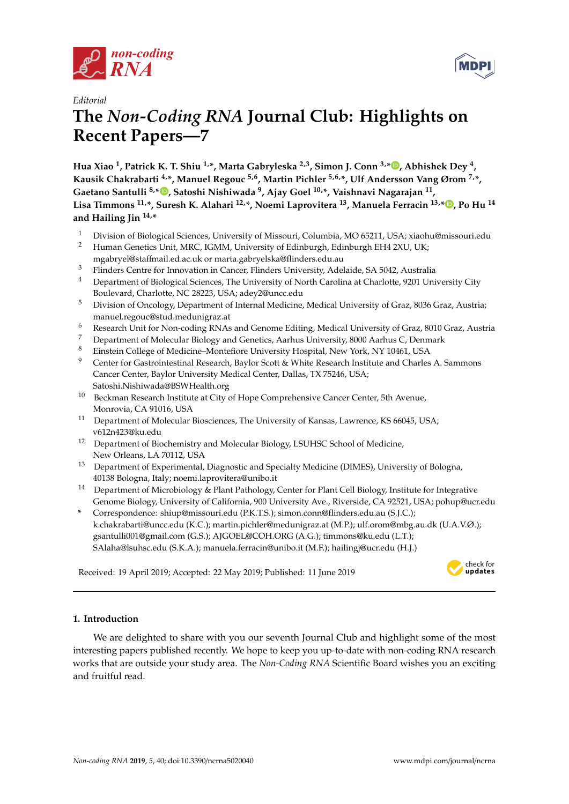



# *Editorial* **The** *Non-Coding RNA* **Journal Club: Highlights on Recent Papers—7**

**Hua Xiao <sup>1</sup> , Patrick K. T. Shiu 1,\*, Marta Gabryleska 2,3, Simon J. Conn 3,[\\*](https://orcid.org/0000-0002-1376-4515) , Abhishek Dey <sup>4</sup> , Kausik Chakrabarti 4,\*, Manuel Regouc 5,6, Martin Pichler 5,6,\*, Ulf Andersson Vang Ørom 7,\*, Gaetano Santulli 8,[\\*](https://orcid.org/0000-0001-7231-375X) , Satoshi Nishiwada <sup>9</sup> , Ajay Goel 10,\*, Vaishnavi Nagarajan <sup>11</sup> , Lisa Timmons 11,\*, Suresh K. Alahari 12,\*, Noemi Laprovitera <sup>13</sup>, Manuela Ferracin 13,\* [,](https://orcid.org/0000-0002-1595-6887) Po Hu <sup>14</sup> and Hailing Jin 14,\***

- <sup>1</sup> Division of Biological Sciences, University of Missouri, Columbia, MO 65211, USA; xiaohu@missouri.edu<br><sup>2</sup> Human Genetics Unit MRC IGMM University of Edinburgh Edinburgh EH4 2XII UK<sup>.</sup>
- <sup>2</sup> Human Genetics Unit, MRC, IGMM, University of Edinburgh, Edinburgh EH4 2XU, UK; mgabryel@staffmail.ed.ac.uk or marta.gabryelska@flinders.edu.au
- <sup>3</sup> Flinders Centre for Innovation in Cancer, Flinders University, Adelaide, SA 5042, Australia
- <sup>4</sup> Department of Biological Sciences, The University of North Carolina at Charlotte, 9201 University City Boulevard, Charlotte, NC 28223, USA; adey2@uncc.edu
- <sup>5</sup> Division of Oncology, Department of Internal Medicine, Medical University of Graz, 8036 Graz, Austria; manuel.regouc@stud.medunigraz.at
- <sup>6</sup> Research Unit for Non-coding RNAs and Genome Editing, Medical University of Graz, 8010 Graz, Austria
- <sup>7</sup> Department of Molecular Biology and Genetics, Aarhus University, 8000 Aarhus C, Denmark
- <sup>8</sup> Einstein College of Medicine–Montefiore University Hospital, New York, NY 10461, USA
- <sup>9</sup> Center for Gastrointestinal Research, Baylor Scott & White Research Institute and Charles A. Sammons Cancer Center, Baylor University Medical Center, Dallas, TX 75246, USA; Satoshi.Nishiwada@BSWHealth.org
- <sup>10</sup> Beckman Research Institute at City of Hope Comprehensive Cancer Center, 5th Avenue, Monrovia, CA 91016, USA
- <sup>11</sup> Department of Molecular Biosciences, The University of Kansas, Lawrence, KS 66045, USA; v612n423@ku.edu
- <sup>12</sup> Department of Biochemistry and Molecular Biology, LSUHSC School of Medicine, New Orleans, LA 70112, USA
- <sup>13</sup> Department of Experimental, Diagnostic and Specialty Medicine (DIMES), University of Bologna, 40138 Bologna, Italy; noemi.laprovitera@unibo.it
- <sup>14</sup> Department of Microbiology & Plant Pathology, Center for Plant Cell Biology, Institute for Integrative Genome Biology, University of California, 900 University Ave., Riverside, CA 92521, USA; pohup@ucr.edu
- **\*** Correspondence: shiup@missouri.edu (P.K.T.S.); simon.conn@flinders.edu.au (S.J.C.); k.chakrabarti@uncc.edu (K.C.); martin.pichler@medunigraz.at (M.P.); ulf.orom@mbg.au.dk (U.A.V.Ø.); gsantulli001@gmail.com (G.S.); AJGOEL@COH.ORG (A.G.); timmons@ku.edu (L.T.); SAlaha@lsuhsc.edu (S.K.A.); manuela.ferracin@unibo.it (M.F.); hailingj@ucr.edu (H.J.)

Received: 19 April 2019; Accepted: 22 May 2019; Published: 11 June 2019 -



# **1. Introduction**

We are delighted to share with you our seventh Journal Club and highlight some of the most interesting papers published recently. We hope to keep you up-to-date with non-coding RNA research works that are outside your study area. The *Non-Coding RNA* Scientific Board wishes you an exciting and fruitful read.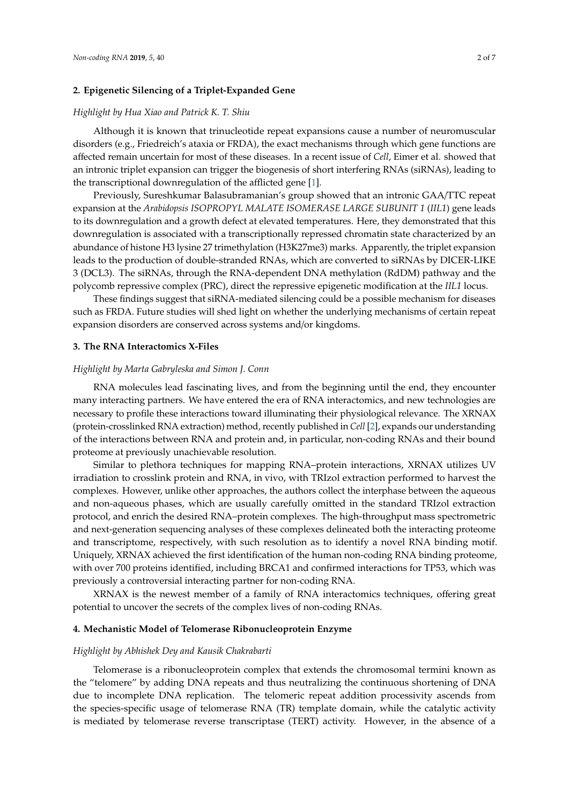# **2. Epigenetic Silencing of a Triplet-Expanded Gene**

#### *Highlight by Hua Xiao and Patrick K. T. Shiu*

Although it is known that trinucleotide repeat expansions cause a number of neuromuscular disorders (e.g., Friedreich's ataxia or FRDA), the exact mechanisms through which gene functions are affected remain uncertain for most of these diseases. In a recent issue of *Cell*, Eimer et al. showed that an intronic triplet expansion can trigger the biogenesis of short interfering RNAs (siRNAs), leading to the transcriptional downregulation of the afflicted gene [\[1\]](#page-5-0).

Previously, Sureshkumar Balasubramanian's group showed that an intronic GAA/TTC repeat expansion at the *Arabidopsis ISOPROPYL MALATE ISOMERASE LARGE SUBUNIT 1* (*IIL1*) gene leads to its downregulation and a growth defect at elevated temperatures. Here, they demonstrated that this downregulation is associated with a transcriptionally repressed chromatin state characterized by an abundance of histone H3 lysine 27 trimethylation (H3K27me3) marks. Apparently, the triplet expansion leads to the production of double-stranded RNAs, which are converted to siRNAs by DICER-LIKE 3 (DCL3). The siRNAs, through the RNA-dependent DNA methylation (RdDM) pathway and the polycomb repressive complex (PRC), direct the repressive epigenetic modification at the *IIL1* locus.

These findings suggest that siRNA-mediated silencing could be a possible mechanism for diseases such as FRDA. Future studies will shed light on whether the underlying mechanisms of certain repeat expansion disorders are conserved across systems and/or kingdoms.

#### **3. The RNA Interactomics X-Files**

### *Highlight by Marta Gabryleska and Simon J. Conn*

RNA molecules lead fascinating lives, and from the beginning until the end, they encounter many interacting partners. We have entered the era of RNA interactomics, and new technologies are necessary to profile these interactions toward illuminating their physiological relevance. The XRNAX (protein-crosslinked RNA extraction) method, recently published in *Cell* [\[2\]](#page-5-1), expands our understanding of the interactions between RNA and protein and, in particular, non-coding RNAs and their bound proteome at previously unachievable resolution.

Similar to plethora techniques for mapping RNA–protein interactions, XRNAX utilizes UV irradiation to crosslink protein and RNA, in vivo, with TRIzol extraction performed to harvest the complexes. However, unlike other approaches, the authors collect the interphase between the aqueous and non-aqueous phases, which are usually carefully omitted in the standard TRIzol extraction protocol, and enrich the desired RNA–protein complexes. The high-throughput mass spectrometric and next-generation sequencing analyses of these complexes delineated both the interacting proteome and transcriptome, respectively, with such resolution as to identify a novel RNA binding motif. Uniquely, XRNAX achieved the first identification of the human non-coding RNA binding proteome, with over 700 proteins identified, including BRCA1 and confirmed interactions for TP53, which was previously a controversial interacting partner for non-coding RNA.

XRNAX is the newest member of a family of RNA interactomics techniques, offering great potential to uncover the secrets of the complex lives of non-coding RNAs.

#### **4. Mechanistic Model of Telomerase Ribonucleoprotein Enzyme**

### *Highlight by Abhishek Dey and Kausik Chakrabarti*

Telomerase is a ribonucleoprotein complex that extends the chromosomal termini known as the "telomere" by adding DNA repeats and thus neutralizing the continuous shortening of DNA due to incomplete DNA replication. The telomeric repeat addition processivity ascends from the species-specific usage of telomerase RNA (TR) template domain, while the catalytic activity is mediated by telomerase reverse transcriptase (TERT) activity. However, in the absence of a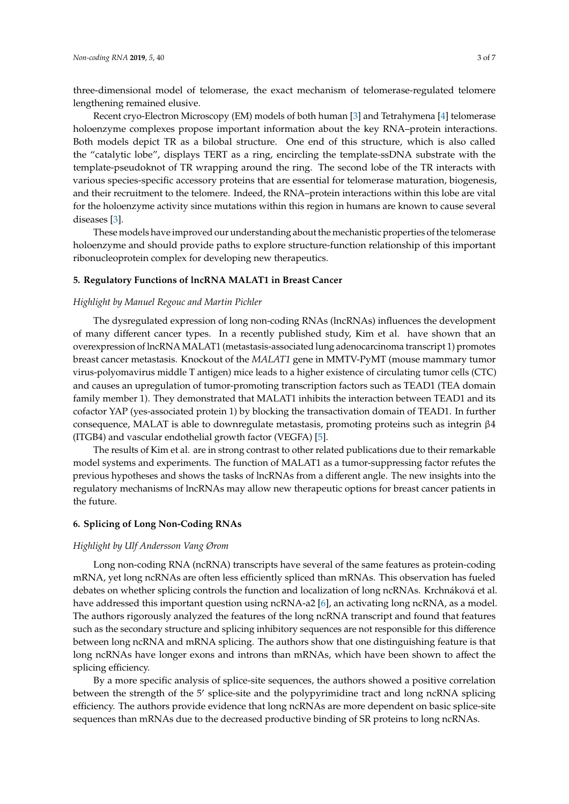three-dimensional model of telomerase, the exact mechanism of telomerase-regulated telomere lengthening remained elusive.

Recent cryo-Electron Microscopy (EM) models of both human [\[3\]](#page-5-2) and Tetrahymena [\[4\]](#page-5-3) telomerase holoenzyme complexes propose important information about the key RNA–protein interactions. Both models depict TR as a bilobal structure. One end of this structure, which is also called the "catalytic lobe", displays TERT as a ring, encircling the template-ssDNA substrate with the template-pseudoknot of TR wrapping around the ring. The second lobe of the TR interacts with various species-specific accessory proteins that are essential for telomerase maturation, biogenesis, and their recruitment to the telomere. Indeed, the RNA–protein interactions within this lobe are vital for the holoenzyme activity since mutations within this region in humans are known to cause several diseases [\[3\]](#page-5-2).

These models have improved our understanding about the mechanistic properties of the telomerase holoenzyme and should provide paths to explore structure-function relationship of this important ribonucleoprotein complex for developing new therapeutics.

# **5. Regulatory Functions of lncRNA MALAT1 in Breast Cancer**

## *Highlight by Manuel Regouc and Martin Pichler*

The dysregulated expression of long non-coding RNAs (lncRNAs) influences the development of many different cancer types. In a recently published study, Kim et al. have shown that an overexpression of lncRNA MALAT1 (metastasis-associated lung adenocarcinoma transcript 1) promotes breast cancer metastasis. Knockout of the *MALAT1* gene in MMTV-PyMT (mouse mammary tumor virus-polyomavirus middle T antigen) mice leads to a higher existence of circulating tumor cells (CTC) and causes an upregulation of tumor-promoting transcription factors such as TEAD1 (TEA domain family member 1). They demonstrated that MALAT1 inhibits the interaction between TEAD1 and its cofactor YAP (yes-associated protein 1) by blocking the transactivation domain of TEAD1. In further consequence, MALAT is able to downregulate metastasis, promoting proteins such as integrin β4 (ITGB4) and vascular endothelial growth factor (VEGFA) [\[5\]](#page-5-4).

The results of Kim et al. are in strong contrast to other related publications due to their remarkable model systems and experiments. The function of MALAT1 as a tumor-suppressing factor refutes the previous hypotheses and shows the tasks of lncRNAs from a different angle. The new insights into the regulatory mechanisms of lncRNAs may allow new therapeutic options for breast cancer patients in the future.

## **6. Splicing of Long Non-Coding RNAs**

#### *Highlight by Ulf Andersson Vang Ørom*

Long non-coding RNA (ncRNA) transcripts have several of the same features as protein-coding mRNA, yet long ncRNAs are often less efficiently spliced than mRNAs. This observation has fueled debates on whether splicing controls the function and localization of long ncRNAs. Krchnáková et al. have addressed this important question using ncRNA-a2 [\[6\]](#page-5-5), an activating long ncRNA, as a model. The authors rigorously analyzed the features of the long ncRNA transcript and found that features such as the secondary structure and splicing inhibitory sequences are not responsible for this difference between long ncRNA and mRNA splicing. The authors show that one distinguishing feature is that long ncRNAs have longer exons and introns than mRNAs, which have been shown to affect the splicing efficiency.

By a more specific analysis of splice-site sequences, the authors showed a positive correlation between the strength of the 5' splice-site and the polypyrimidine tract and long ncRNA splicing efficiency. The authors provide evidence that long ncRNAs are more dependent on basic splice-site sequences than mRNAs due to the decreased productive binding of SR proteins to long ncRNAs.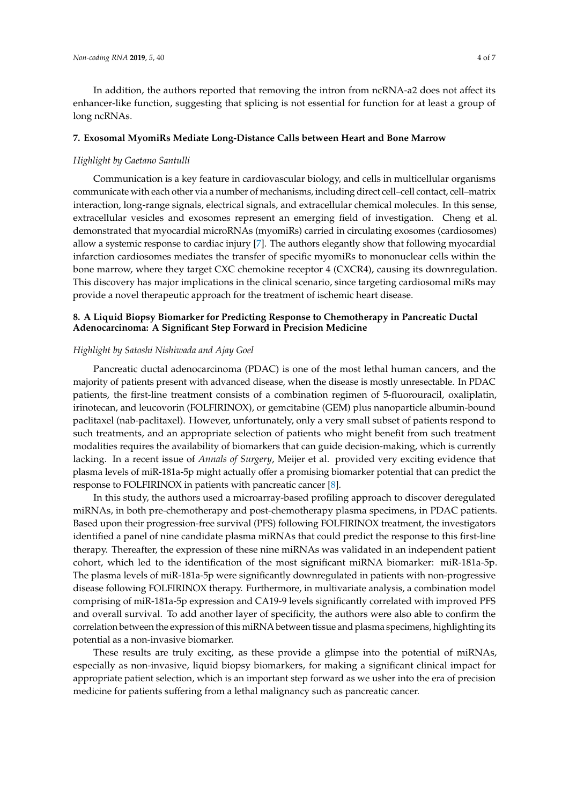In addition, the authors reported that removing the intron from ncRNA-a2 does not affect its enhancer-like function, suggesting that splicing is not essential for function for at least a group of long ncRNAs.

## **7. Exosomal MyomiRs Mediate Long-Distance Calls between Heart and Bone Marrow**

#### *Highlight by Gaetano Santulli*

Communication is a key feature in cardiovascular biology, and cells in multicellular organisms communicate with each other via a number of mechanisms, including direct cell–cell contact, cell–matrix interaction, long-range signals, electrical signals, and extracellular chemical molecules. In this sense, extracellular vesicles and exosomes represent an emerging field of investigation. Cheng et al. demonstrated that myocardial microRNAs (myomiRs) carried in circulating exosomes (cardiosomes) allow a systemic response to cardiac injury [\[7\]](#page-5-6). The authors elegantly show that following myocardial infarction cardiosomes mediates the transfer of specific myomiRs to mononuclear cells within the bone marrow, where they target CXC chemokine receptor 4 (CXCR4), causing its downregulation. This discovery has major implications in the clinical scenario, since targeting cardiosomal miRs may provide a novel therapeutic approach for the treatment of ischemic heart disease.

# **8. A Liquid Biopsy Biomarker for Predicting Response to Chemotherapy in Pancreatic Ductal Adenocarcinoma: A Significant Step Forward in Precision Medicine**

## *Highlight by Satoshi Nishiwada and Ajay Goel*

Pancreatic ductal adenocarcinoma (PDAC) is one of the most lethal human cancers, and the majority of patients present with advanced disease, when the disease is mostly unresectable. In PDAC patients, the first-line treatment consists of a combination regimen of 5-fluorouracil, oxaliplatin, irinotecan, and leucovorin (FOLFIRINOX), or gemcitabine (GEM) plus nanoparticle albumin-bound paclitaxel (nab-paclitaxel). However, unfortunately, only a very small subset of patients respond to such treatments, and an appropriate selection of patients who might benefit from such treatment modalities requires the availability of biomarkers that can guide decision-making, which is currently lacking. In a recent issue of *Annals of Surgery*, Meijer et al. provided very exciting evidence that plasma levels of miR-181a-5p might actually offer a promising biomarker potential that can predict the response to FOLFIRINOX in patients with pancreatic cancer [\[8\]](#page-5-7).

In this study, the authors used a microarray-based profiling approach to discover deregulated miRNAs, in both pre-chemotherapy and post-chemotherapy plasma specimens, in PDAC patients. Based upon their progression-free survival (PFS) following FOLFIRINOX treatment, the investigators identified a panel of nine candidate plasma miRNAs that could predict the response to this first-line therapy. Thereafter, the expression of these nine miRNAs was validated in an independent patient cohort, which led to the identification of the most significant miRNA biomarker: miR-181a-5p. The plasma levels of miR-181a-5p were significantly downregulated in patients with non-progressive disease following FOLFIRINOX therapy. Furthermore, in multivariate analysis, a combination model comprising of miR-181a-5p expression and CA19-9 levels significantly correlated with improved PFS and overall survival. To add another layer of specificity, the authors were also able to confirm the correlation between the expression of this miRNA between tissue and plasma specimens, highlighting its potential as a non-invasive biomarker.

These results are truly exciting, as these provide a glimpse into the potential of miRNAs, especially as non-invasive, liquid biopsy biomarkers, for making a significant clinical impact for appropriate patient selection, which is an important step forward as we usher into the era of precision medicine for patients suffering from a lethal malignancy such as pancreatic cancer.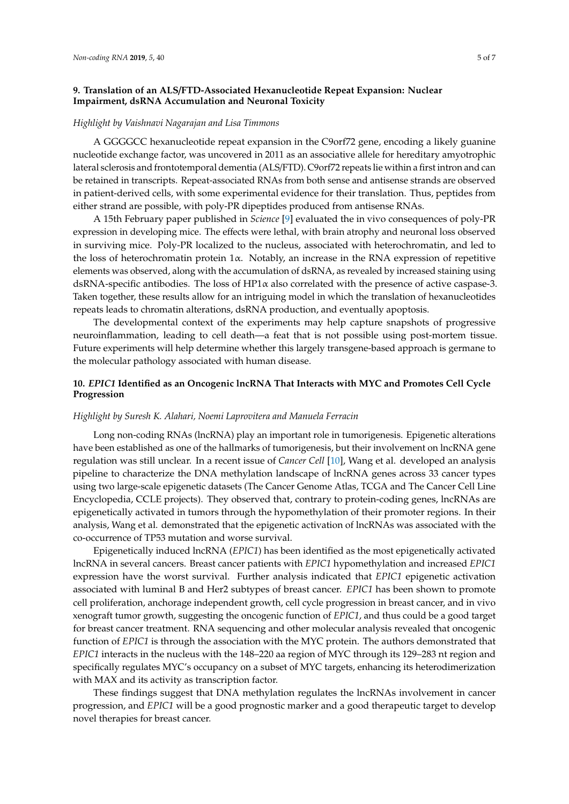# **9. Translation of an ALS**/**FTD-Associated Hexanucleotide Repeat Expansion: Nuclear Impairment, dsRNA Accumulation and Neuronal Toxicity**

### *Highlight by Vaishnavi Nagarajan and Lisa Timmons*

A GGGGCC hexanucleotide repeat expansion in the C9orf72 gene, encoding a likely guanine nucleotide exchange factor, was uncovered in 2011 as an associative allele for hereditary amyotrophic lateral sclerosis and frontotemporal dementia (ALS/FTD). C9orf72 repeats lie within a first intron and can be retained in transcripts. Repeat-associated RNAs from both sense and antisense strands are observed in patient-derived cells, with some experimental evidence for their translation. Thus, peptides from either strand are possible, with poly-PR dipeptides produced from antisense RNAs.

A 15th February paper published in *Science* [\[9\]](#page-6-0) evaluated the in vivo consequences of poly-PR expression in developing mice. The effects were lethal, with brain atrophy and neuronal loss observed in surviving mice. Poly-PR localized to the nucleus, associated with heterochromatin, and led to the loss of heterochromatin protein  $1\alpha$ . Notably, an increase in the RNA expression of repetitive elements was observed, along with the accumulation of dsRNA, as revealed by increased staining using dsRNA-specific antibodies. The loss of HP1 $\alpha$  also correlated with the presence of active caspase-3. Taken together, these results allow for an intriguing model in which the translation of hexanucleotides repeats leads to chromatin alterations, dsRNA production, and eventually apoptosis.

The developmental context of the experiments may help capture snapshots of progressive neuroinflammation, leading to cell death—a feat that is not possible using post-mortem tissue. Future experiments will help determine whether this largely transgene-based approach is germane to the molecular pathology associated with human disease.

# **10.** *EPIC1* **Identified as an Oncogenic lncRNA That Interacts with MYC and Promotes Cell Cycle Progression**

#### *Highlight by Suresh K. Alahari, Noemi Laprovitera and Manuela Ferracin*

Long non-coding RNAs (lncRNA) play an important role in tumorigenesis. Epigenetic alterations have been established as one of the hallmarks of tumorigenesis, but their involvement on lncRNA gene regulation was still unclear. In a recent issue of *Cancer Cell* [\[10\]](#page-6-1), Wang et al. developed an analysis pipeline to characterize the DNA methylation landscape of lncRNA genes across 33 cancer types using two large-scale epigenetic datasets (The Cancer Genome Atlas, TCGA and The Cancer Cell Line Encyclopedia, CCLE projects). They observed that, contrary to protein-coding genes, lncRNAs are epigenetically activated in tumors through the hypomethylation of their promoter regions. In their analysis, Wang et al. demonstrated that the epigenetic activation of lncRNAs was associated with the co-occurrence of TP53 mutation and worse survival.

Epigenetically induced lncRNA (*EPIC1*) has been identified as the most epigenetically activated lncRNA in several cancers. Breast cancer patients with *EPIC1* hypomethylation and increased *EPIC1* expression have the worst survival. Further analysis indicated that *EPIC1* epigenetic activation associated with luminal B and Her2 subtypes of breast cancer. *EPIC1* has been shown to promote cell proliferation, anchorage independent growth, cell cycle progression in breast cancer, and in vivo xenograft tumor growth, suggesting the oncogenic function of *EPIC1*, and thus could be a good target for breast cancer treatment. RNA sequencing and other molecular analysis revealed that oncogenic function of *EPIC1* is through the association with the MYC protein. The authors demonstrated that *EPIC1* interacts in the nucleus with the 148–220 aa region of MYC through its 129–283 nt region and specifically regulates MYC's occupancy on a subset of MYC targets, enhancing its heterodimerization with MAX and its activity as transcription factor.

These findings suggest that DNA methylation regulates the lncRNAs involvement in cancer progression, and *EPIC1* will be a good prognostic marker and a good therapeutic target to develop novel therapies for breast cancer.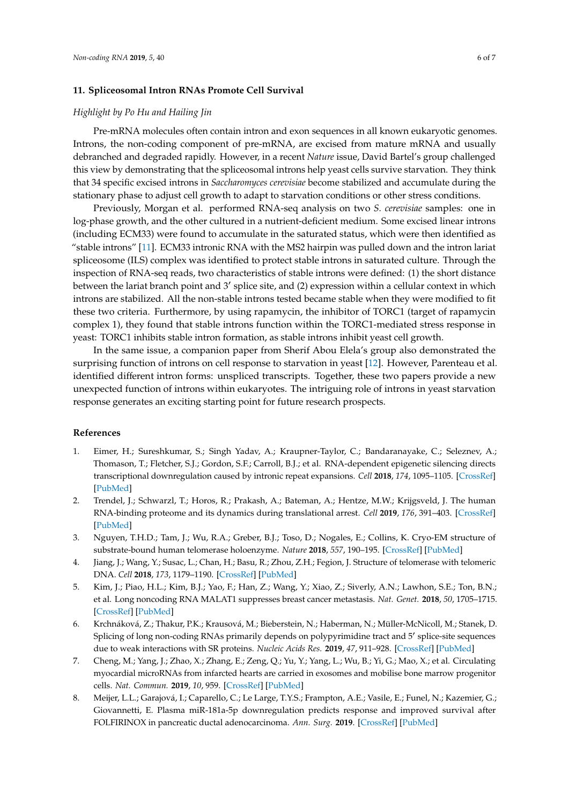## **11. Spliceosomal Intron RNAs Promote Cell Survival**

## *Highlight by Po Hu and Hailing Jin*

Pre-mRNA molecules often contain intron and exon sequences in all known eukaryotic genomes. Introns, the non-coding component of pre-mRNA, are excised from mature mRNA and usually debranched and degraded rapidly. However, in a recent *Nature* issue, David Bartel's group challenged this view by demonstrating that the spliceosomal introns help yeast cells survive starvation. They think that 34 specific excised introns in *Saccharomyces cerevisiae* become stabilized and accumulate during the stationary phase to adjust cell growth to adapt to starvation conditions or other stress conditions.

Previously, Morgan et al. performed RNA-seq analysis on two *S. cerevisiae* samples: one in log-phase growth, and the other cultured in a nutrient-deficient medium. Some excised linear introns (including ECM33) were found to accumulate in the saturated status, which were then identified as "stable introns" [\[11\]](#page-6-2). ECM33 intronic RNA with the MS2 hairpin was pulled down and the intron lariat spliceosome (ILS) complex was identified to protect stable introns in saturated culture. Through the inspection of RNA-seq reads, two characteristics of stable introns were defined: (1) the short distance between the lariat branch point and 3' splice site, and (2) expression within a cellular context in which introns are stabilized. All the non-stable introns tested became stable when they were modified to fit these two criteria. Furthermore, by using rapamycin, the inhibitor of TORC1 (target of rapamycin complex 1), they found that stable introns function within the TORC1-mediated stress response in yeast: TORC1 inhibits stable intron formation, as stable introns inhibit yeast cell growth.

In the same issue, a companion paper from Sherif Abou Elela's group also demonstrated the surprising function of introns on cell response to starvation in yeast [\[12\]](#page-6-3). However, Parenteau et al. identified different intron forms: unspliced transcripts. Together, these two papers provide a new unexpected function of introns within eukaryotes. The intriguing role of introns in yeast starvation response generates an exciting starting point for future research prospects.

#### **References**

- <span id="page-5-0"></span>1. Eimer, H.; Sureshkumar, S.; Singh Yadav, A.; Kraupner-Taylor, C.; Bandaranayake, C.; Seleznev, A.; Thomason, T.; Fletcher, S.J.; Gordon, S.F.; Carroll, B.J.; et al. RNA-dependent epigenetic silencing directs transcriptional downregulation caused by intronic repeat expansions. *Cell* **2018**, *174*, 1095–1105. [\[CrossRef\]](http://dx.doi.org/10.1016/j.cell.2018.06.044) [\[PubMed\]](http://www.ncbi.nlm.nih.gov/pubmed/30057112)
- <span id="page-5-1"></span>2. Trendel, J.; Schwarzl, T.; Horos, R.; Prakash, A.; Bateman, A.; Hentze, M.W.; Krijgsveld, J. The human RNA-binding proteome and its dynamics during translational arrest. *Cell* **2019**, *176*, 391–403. [\[CrossRef\]](http://dx.doi.org/10.1016/j.cell.2018.11.004) [\[PubMed\]](http://www.ncbi.nlm.nih.gov/pubmed/30528433)
- <span id="page-5-2"></span>3. Nguyen, T.H.D.; Tam, J.; Wu, R.A.; Greber, B.J.; Toso, D.; Nogales, E.; Collins, K. Cryo-EM structure of substrate-bound human telomerase holoenzyme. *Nature* **2018**, *557*, 190–195. [\[CrossRef\]](http://dx.doi.org/10.1038/s41586-018-0062-x) [\[PubMed\]](http://www.ncbi.nlm.nih.gov/pubmed/29695869)
- <span id="page-5-3"></span>4. Jiang, J.; Wang, Y.; Susac, L.; Chan, H.; Basu, R.; Zhou, Z.H.; Fegion, J. Structure of telomerase with telomeric DNA. *Cell* **2018**, *173*, 1179–1190. [\[CrossRef\]](http://dx.doi.org/10.1016/j.cell.2018.04.038) [\[PubMed\]](http://www.ncbi.nlm.nih.gov/pubmed/29775593)
- <span id="page-5-4"></span>5. Kim, J.; Piao, H.L.; Kim, B.J.; Yao, F.; Han, Z.; Wang, Y.; Xiao, Z.; Siverly, A.N.; Lawhon, S.E.; Ton, B.N.; et al. Long noncoding RNA MALAT1 suppresses breast cancer metastasis. *Nat. Genet.* **2018**, *50*, 1705–1715. [\[CrossRef\]](http://dx.doi.org/10.1038/s41588-018-0252-3) [\[PubMed\]](http://www.ncbi.nlm.nih.gov/pubmed/30349115)
- <span id="page-5-5"></span>6. Krchnáková, Z.; Thakur, P.K.; Krausová, M.; Bieberstein, N.; Haberman, N.; Müller-McNicoll, M.; Stanek, D. Splicing of long non-coding RNAs primarily depends on polypyrimidine tract and 5' splice-site sequences due to weak interactions with SR proteins. *Nucleic Acids Res.* **2019**, *47*, 911–928. [\[CrossRef\]](http://dx.doi.org/10.1093/nar/gky1147) [\[PubMed\]](http://www.ncbi.nlm.nih.gov/pubmed/30445574)
- <span id="page-5-6"></span>7. Cheng, M.; Yang, J.; Zhao, X.; Zhang, E.; Zeng, Q.; Yu, Y.; Yang, L.; Wu, B.; Yi, G.; Mao, X.; et al. Circulating myocardial microRNAs from infarcted hearts are carried in exosomes and mobilise bone marrow progenitor cells. *Nat. Commun.* **2019**, *10*, 959. [\[CrossRef\]](http://dx.doi.org/10.1038/s41467-019-08895-7) [\[PubMed\]](http://www.ncbi.nlm.nih.gov/pubmed/30814518)
- <span id="page-5-7"></span>8. Meijer, L.L.; Garajová, I.; Caparello, C.; Le Large, T.Y.S.; Frampton, A.E.; Vasile, E.; Funel, N.; Kazemier, G.; Giovannetti, E. Plasma miR-181a-5p downregulation predicts response and improved survival after FOLFIRINOX in pancreatic ductal adenocarcinoma. *Ann. Surg.* **2019**. [\[CrossRef\]](http://dx.doi.org/10.1097/SLA.0000000000003084) [\[PubMed\]](http://www.ncbi.nlm.nih.gov/pubmed/30394883)